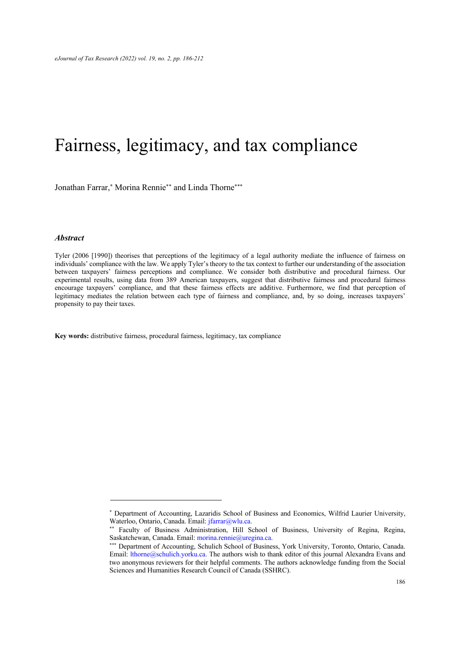# Fairness, legitimacy, and tax compliance

Jonathan Farrar,\* Morina Rennie\*\* and Linda Thorne\*\*\*

#### *Abstract*

Tyler (2006 [1990]) theorises that perceptions of the legitimacy of a legal authority mediate the influence of fairness on individuals' compliance with the law. We apply Tyler's theory to the tax context to further our understanding of the association between taxpayers' fairness perceptions and compliance. We consider both distributive and procedural fairness. Our experimental results, using data from 389 American taxpayers, suggest that distributive fairness and procedural fairness encourage taxpayers' compliance, and that these fairness effects are additive. Furthermore, we find that perception of legitimacy mediates the relation between each type of fairness and compliance, and, by so doing, increases taxpayers' propensity to pay their taxes.

**Key words:** distributive fairness, procedural fairness, legitimacy, tax compliance

<sup>\*</sup> Department of Accounting, Lazaridis School of Business and Economics, Wilfrid Laurier University, Waterloo, Ontario, Canada. Email: *jfarrar@wlu.ca.* 

<sup>\*\*</sup> Faculty of Business Administration, Hill School of Business, University of Regina, Regina, Saskatchewan, Canada. Email: morina.rennie@uregina.ca.

<sup>\*\*\*</sup> Department of Accounting, Schulich School of Business, York University, Toronto, Ontario, Canada. Email: lthorne@schulich.yorku.ca. The authors wish to thank editor of this journal Alexandra Evans and two anonymous reviewers for their helpful comments. The authors acknowledge funding from the Social Sciences and Humanities Research Council of Canada (SSHRC).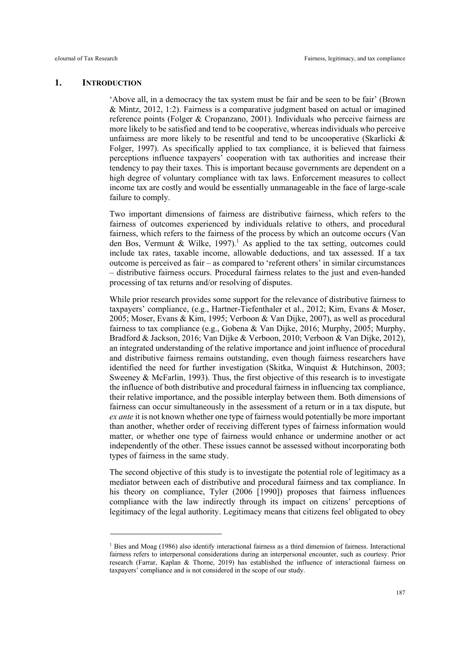# **1. INTRODUCTION**

'Above all, in a democracy the tax system must be fair and be seen to be fair' (Brown & Mintz, 2012, 1:2). Fairness is a comparative judgment based on actual or imagined reference points (Folger & Cropanzano, 2001). Individuals who perceive fairness are more likely to be satisfied and tend to be cooperative, whereas individuals who perceive unfairness are more likely to be resentful and tend to be uncooperative (Skarlicki  $\&$ Folger, 1997). As specifically applied to tax compliance, it is believed that fairness perceptions influence taxpayers' cooperation with tax authorities and increase their tendency to pay their taxes. This is important because governments are dependent on a high degree of voluntary compliance with tax laws. Enforcement measures to collect income tax are costly and would be essentially unmanageable in the face of large-scale failure to comply.

Two important dimensions of fairness are distributive fairness, which refers to the fairness of outcomes experienced by individuals relative to others, and procedural fairness, which refers to the fairness of the process by which an outcome occurs (Van den Bos, Vermunt & Wilke, 1997).<sup>1</sup> As applied to the tax setting, outcomes could include tax rates, taxable income, allowable deductions, and tax assessed. If a tax outcome is perceived as fair – as compared to 'referent others' in similar circumstances – distributive fairness occurs. Procedural fairness relates to the just and even-handed processing of tax returns and/or resolving of disputes.

While prior research provides some support for the relevance of distributive fairness to taxpayers' compliance, (e.g., Hartner-Tiefenthaler et al., 2012; Kim, Evans & Moser, 2005; Moser, Evans & Kim, 1995; Verboon & Van Dijke, 2007), as well as procedural fairness to tax compliance (e.g., Gobena & Van Dijke, 2016; Murphy, 2005; Murphy, Bradford & Jackson, 2016; Van Dijke & Verboon, 2010; Verboon & Van Dijke, 2012), an integrated understanding of the relative importance and joint influence of procedural and distributive fairness remains outstanding, even though fairness researchers have identified the need for further investigation (Skitka, Winquist & Hutchinson, 2003; Sweeney & McFarlin, 1993). Thus, the first objective of this research is to investigate the influence of both distributive and procedural fairness in influencing tax compliance, their relative importance, and the possible interplay between them. Both dimensions of fairness can occur simultaneously in the assessment of a return or in a tax dispute, but *ex ante* it is not known whether one type of fairness would potentially be more important than another, whether order of receiving different types of fairness information would matter, or whether one type of fairness would enhance or undermine another or act independently of the other. These issues cannot be assessed without incorporating both types of fairness in the same study.

The second objective of this study is to investigate the potential role of legitimacy as a mediator between each of distributive and procedural fairness and tax compliance. In his theory on compliance, Tyler (2006 [1990]) proposes that fairness influences compliance with the law indirectly through its impact on citizens' perceptions of legitimacy of the legal authority. Legitimacy means that citizens feel obligated to obey

 $1$  Bies and Moag (1986) also identify interactional fairness as a third dimension of fairness. Interactional fairness refers to interpersonal considerations during an interpersonal encounter, such as courtesy. Prior research (Farrar, Kaplan & Thorne, 2019) has established the influence of interactional fairness on taxpayers' compliance and is not considered in the scope of our study.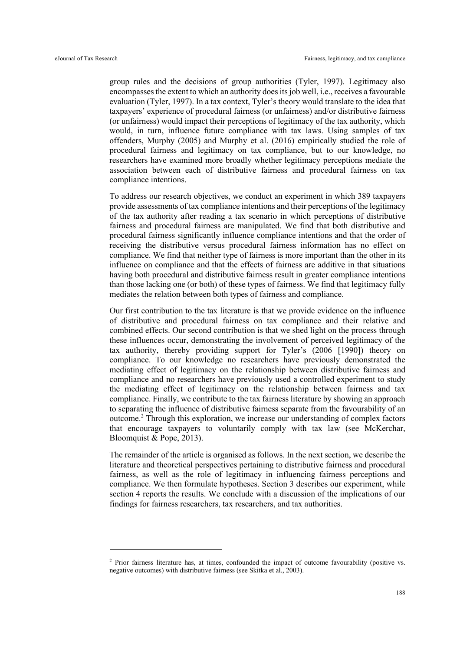group rules and the decisions of group authorities (Tyler, 1997). Legitimacy also encompasses the extent to which an authority does its job well, i.e., receives a favourable evaluation (Tyler, 1997). In a tax context, Tyler's theory would translate to the idea that taxpayers' experience of procedural fairness (or unfairness) and/or distributive fairness (or unfairness) would impact their perceptions of legitimacy of the tax authority, which would, in turn, influence future compliance with tax laws. Using samples of tax offenders, Murphy (2005) and Murphy et al. (2016) empirically studied the role of procedural fairness and legitimacy on tax compliance, but to our knowledge, no researchers have examined more broadly whether legitimacy perceptions mediate the association between each of distributive fairness and procedural fairness on tax compliance intentions.

To address our research objectives, we conduct an experiment in which 389 taxpayers provide assessments of tax compliance intentions and their perceptions of the legitimacy of the tax authority after reading a tax scenario in which perceptions of distributive fairness and procedural fairness are manipulated. We find that both distributive and procedural fairness significantly influence compliance intentions and that the order of receiving the distributive versus procedural fairness information has no effect on compliance. We find that neither type of fairness is more important than the other in its influence on compliance and that the effects of fairness are additive in that situations having both procedural and distributive fairness result in greater compliance intentions than those lacking one (or both) of these types of fairness. We find that legitimacy fully mediates the relation between both types of fairness and compliance.

Our first contribution to the tax literature is that we provide evidence on the influence of distributive and procedural fairness on tax compliance and their relative and combined effects. Our second contribution is that we shed light on the process through these influences occur, demonstrating the involvement of perceived legitimacy of the tax authority, thereby providing support for Tyler's (2006 [1990]) theory on compliance. To our knowledge no researchers have previously demonstrated the mediating effect of legitimacy on the relationship between distributive fairness and compliance and no researchers have previously used a controlled experiment to study the mediating effect of legitimacy on the relationship between fairness and tax compliance. Finally, we contribute to the tax fairness literature by showing an approach to separating the influence of distributive fairness separate from the favourability of an outcome.<sup>2</sup> Through this exploration, we increase our understanding of complex factors that encourage taxpayers to voluntarily comply with tax law (see McKerchar, Bloomquist & Pope, 2013).

The remainder of the article is organised as follows. In the next section, we describe the literature and theoretical perspectives pertaining to distributive fairness and procedural fairness, as well as the role of legitimacy in influencing fairness perceptions and compliance. We then formulate hypotheses. Section 3 describes our experiment, while section 4 reports the results. We conclude with a discussion of the implications of our findings for fairness researchers, tax researchers, and tax authorities.

<sup>2</sup> Prior fairness literature has, at times, confounded the impact of outcome favourability (positive vs. negative outcomes) with distributive fairness (see Skitka et al., 2003).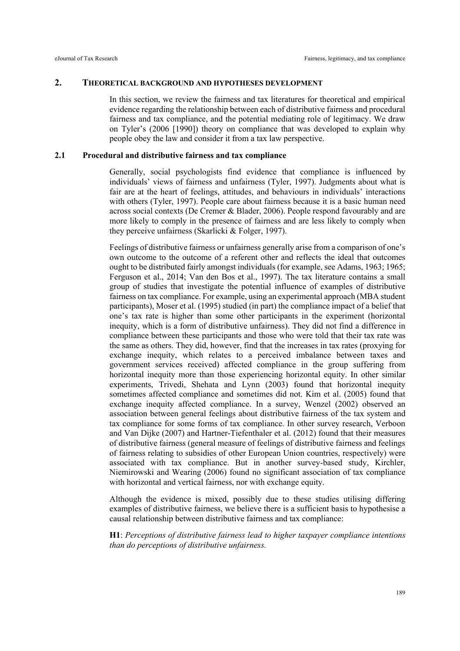#### **2. THEORETICAL BACKGROUND AND HYPOTHESES DEVELOPMENT**

In this section, we review the fairness and tax literatures for theoretical and empirical evidence regarding the relationship between each of distributive fairness and procedural fairness and tax compliance, and the potential mediating role of legitimacy. We draw on Tyler's (2006 [1990]) theory on compliance that was developed to explain why people obey the law and consider it from a tax law perspective.

## **2.1 Procedural and distributive fairness and tax compliance**

Generally, social psychologists find evidence that compliance is influenced by individuals' views of fairness and unfairness (Tyler, 1997). Judgments about what is fair are at the heart of feelings, attitudes, and behaviours in individuals' interactions with others (Tyler, 1997). People care about fairness because it is a basic human need across social contexts (De Cremer & Blader, 2006). People respond favourably and are more likely to comply in the presence of fairness and are less likely to comply when they perceive unfairness (Skarlicki & Folger, 1997).

Feelings of distributive fairness or unfairness generally arise from a comparison of one's own outcome to the outcome of a referent other and reflects the ideal that outcomes ought to be distributed fairly amongst individuals (for example, see Adams, 1963; 1965; Ferguson et al., 2014; Van den Bos et al., 1997). The tax literature contains a small group of studies that investigate the potential influence of examples of distributive fairness on tax compliance. For example, using an experimental approach (MBA student participants), Moser et al. (1995) studied (in part) the compliance impact of a belief that one's tax rate is higher than some other participants in the experiment (horizontal inequity, which is a form of distributive unfairness). They did not find a difference in compliance between these participants and those who were told that their tax rate was the same as others. They did, however, find that the increases in tax rates (proxying for exchange inequity, which relates to a perceived imbalance between taxes and government services received) affected compliance in the group suffering from horizontal inequity more than those experiencing horizontal equity. In other similar experiments, Trivedi, Shehata and Lynn (2003) found that horizontal inequity sometimes affected compliance and sometimes did not. Kim et al. (2005) found that exchange inequity affected compliance. In a survey, Wenzel (2002) observed an association between general feelings about distributive fairness of the tax system and tax compliance for some forms of tax compliance. In other survey research, Verboon and Van Dijke (2007) and Hartner-Tiefenthaler et al. (2012) found that their measures of distributive fairness (general measure of feelings of distributive fairness and feelings of fairness relating to subsidies of other European Union countries, respectively) were associated with tax compliance. But in another survey-based study, Kirchler, Niemirowski and Wearing (2006) found no significant association of tax compliance with horizontal and vertical fairness, nor with exchange equity.

Although the evidence is mixed, possibly due to these studies utilising differing examples of distributive fairness, we believe there is a sufficient basis to hypothesise a causal relationship between distributive fairness and tax compliance:

**H1**: *Perceptions of distributive fairness lead to higher taxpayer compliance intentions than do perceptions of distributive unfairness.*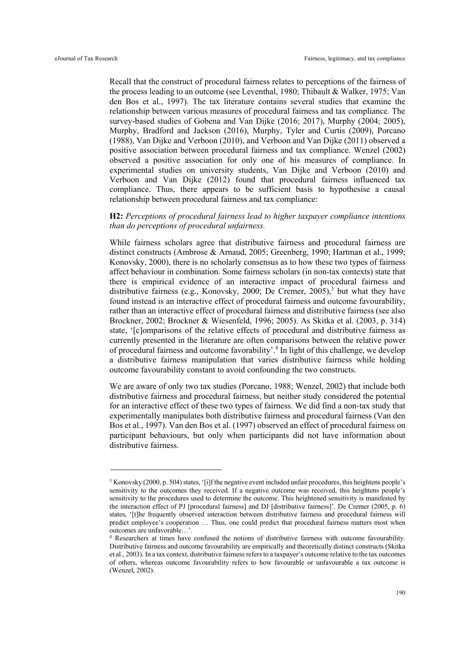Recall that the construct of procedural fairness relates to perceptions of the fairness of the process leading to an outcome (see Leventhal, 1980; Thibault & Walker, 1975; Van den Bos et al., 1997). The tax literature contains several studies that examine the relationship between various measures of procedural fairness and tax compliance. The survey-based studies of Gobena and Van Dijke (2016; 2017), Murphy (2004; 2005), Murphy, Bradford and Jackson (2016), Murphy, Tyler and Curtis (2009), Porcano (1988), Van Dijke and Verboon (2010), and Verboon and Van Dijke (2011) observed a positive association between procedural fairness and tax compliance. Wenzel (2002) observed a positive association for only one of his measures of compliance. In experimental studies on university students, Van Dijke and Verboon (2010) and Verboon and Van Dijke (2012) found that procedural fairness influenced tax compliance. Thus, there appears to be sufficient basis to hypothesise a causal relationship between procedural fairness and tax compliance:

# **H2:** *Perceptions of procedural fairness lead to higher taxpayer compliance intentions than do perceptions of procedural unfairness.*

While fairness scholars agree that distributive fairness and procedural fairness are distinct constructs (Ambrose & Arnaud, 2005; Greenberg, 1990; Hartman et al., 1999; Konovsky, 2000), there is no scholarly consensus as to how these two types of fairness affect behaviour in combination. Some fairness scholars (in non-tax contexts) state that there is empirical evidence of an interactive impact of procedural fairness and distributive fairness (e.g., Konovsky, 2000; De Cremer, 2005), <sup>3</sup> but what they have found instead is an interactive effect of procedural fairness and outcome favourability, rather than an interactive effect of procedural fairness and distributive fairness (see also Brockner, 2002; Brockner & Wiesenfeld, 1996; 2005). As Skitka et al. (2003, p. 314) state, '[c]omparisons of the relative effects of procedural and distributive fairness as currently presented in the literature are often comparisons between the relative power of procedural fairness and outcome favorability'. <sup>4</sup> In light of this challenge, we develop a distributive fairness manipulation that varies distributive fairness while holding outcome favourability constant to avoid confounding the two constructs.

We are aware of only two tax studies (Porcano, 1988; Wenzel, 2002) that include both distributive fairness and procedural fairness, but neither study considered the potential for an interactive effect of these two types of fairness. We did find a non-tax study that experimentally manipulates both distributive fairness and procedural fairness (Van den Bos et al., 1997). Van den Bos et al. (1997) observed an effect of procedural fairness on participant behaviours, but only when participants did not have information about distributive fairness.

<sup>3</sup> Konovsky (2000, p. 504) states, '[i]f the negative event included unfair procedures, this heightens people's sensitivity to the outcomes they received. If a negative outcome was received, this heightens people's sensitivity to the procedures used to determine the outcome. This heightened sensitivity is manifested by the interaction effect of PJ [procedural fairness] and DJ [distributive fairness]'. De Cremer (2005, p. 6) states, '[t]he frequently observed interaction between distributive fairness and procedural fairness will predict employee's cooperation … Thus, one could predict that procedural fairness matters most when outcomes are unfavorable…'.

<sup>4</sup> Researchers at times have confused the notions of distributive fairness with outcome favourability. Distributive fairness and outcome favourability are empirically and theoretically distinct constructs (Skitka et al., 2003). In a tax context, distributive fairness refers to a taxpayer's outcome relative to the tax outcomes of others, whereas outcome favourability refers to how favourable or unfavourable a tax outcome is (Wenzel, 2002).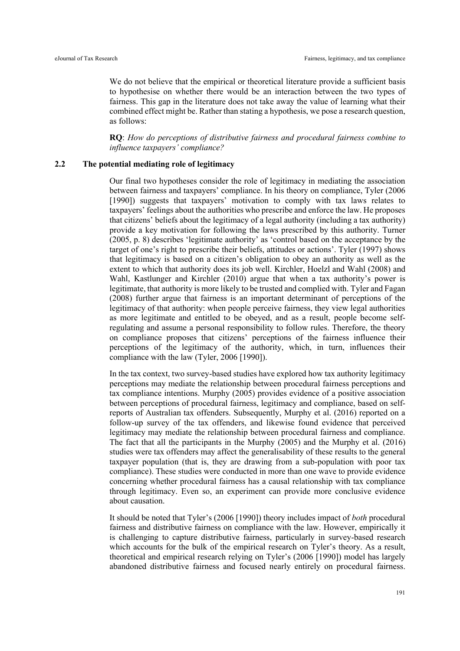We do not believe that the empirical or theoretical literature provide a sufficient basis to hypothesise on whether there would be an interaction between the two types of fairness. This gap in the literature does not take away the value of learning what their combined effect might be. Rather than stating a hypothesis, we pose a research question, as follows:

**RQ**: *How do perceptions of distributive fairness and procedural fairness combine to influence taxpayers' compliance?*

# **2.2 The potential mediating role of legitimacy**

Our final two hypotheses consider the role of legitimacy in mediating the association between fairness and taxpayers' compliance. In his theory on compliance, Tyler (2006 [1990]) suggests that taxpayers' motivation to comply with tax laws relates to taxpayers' feelings about the authorities who prescribe and enforce the law. He proposes that citizens' beliefs about the legitimacy of a legal authority (including a tax authority) provide a key motivation for following the laws prescribed by this authority. Turner (2005, p. 8) describes 'legitimate authority' as 'control based on the acceptance by the target of one's right to prescribe their beliefs, attitudes or actions'. Tyler (1997) shows that legitimacy is based on a citizen's obligation to obey an authority as well as the extent to which that authority does its job well. Kirchler, Hoelzl and Wahl (2008) and Wahl, Kastlunger and Kirchler (2010) argue that when a tax authority's power is legitimate, that authority is more likely to be trusted and complied with. Tyler and Fagan (2008) further argue that fairness is an important determinant of perceptions of the legitimacy of that authority: when people perceive fairness, they view legal authorities as more legitimate and entitled to be obeyed, and as a result, people become selfregulating and assume a personal responsibility to follow rules. Therefore, the theory on compliance proposes that citizens' perceptions of the fairness influence their perceptions of the legitimacy of the authority, which, in turn, influences their compliance with the law (Tyler, 2006 [1990]).

In the tax context, two survey-based studies have explored how tax authority legitimacy perceptions may mediate the relationship between procedural fairness perceptions and tax compliance intentions. Murphy (2005) provides evidence of a positive association between perceptions of procedural fairness, legitimacy and compliance, based on selfreports of Australian tax offenders. Subsequently, Murphy et al. (2016) reported on a follow-up survey of the tax offenders, and likewise found evidence that perceived legitimacy may mediate the relationship between procedural fairness and compliance. The fact that all the participants in the Murphy (2005) and the Murphy et al. (2016) studies were tax offenders may affect the generalisability of these results to the general taxpayer population (that is, they are drawing from a sub-population with poor tax compliance). These studies were conducted in more than one wave to provide evidence concerning whether procedural fairness has a causal relationship with tax compliance through legitimacy. Even so, an experiment can provide more conclusive evidence about causation.

It should be noted that Tyler's (2006 [1990]) theory includes impact of *both* procedural fairness and distributive fairness on compliance with the law. However, empirically it is challenging to capture distributive fairness, particularly in survey-based research which accounts for the bulk of the empirical research on Tyler's theory. As a result, theoretical and empirical research relying on Tyler's (2006 [1990]) model has largely abandoned distributive fairness and focused nearly entirely on procedural fairness.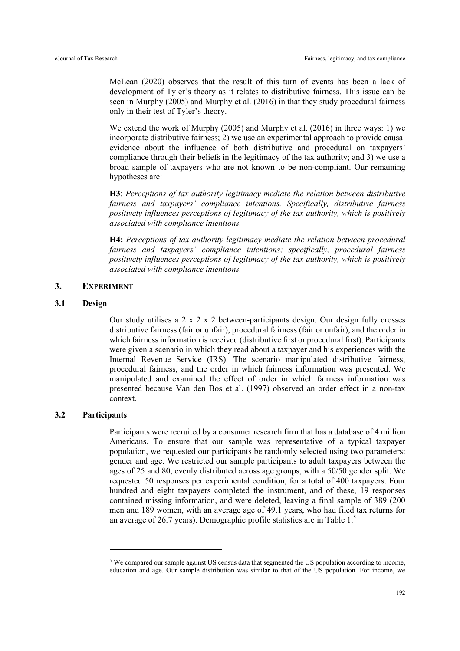McLean (2020) observes that the result of this turn of events has been a lack of development of Tyler's theory as it relates to distributive fairness. This issue can be seen in Murphy (2005) and Murphy et al. (2016) in that they study procedural fairness only in their test of Tyler's theory.

We extend the work of Murphy (2005) and Murphy et al. (2016) in three ways: 1) we incorporate distributive fairness; 2) we use an experimental approach to provide causal evidence about the influence of both distributive and procedural on taxpayers' compliance through their beliefs in the legitimacy of the tax authority; and 3) we use a broad sample of taxpayers who are not known to be non-compliant. Our remaining hypotheses are:

**H3**: *Perceptions of tax authority legitimacy mediate the relation between distributive fairness and taxpayers' compliance intentions. Specifically, distributive fairness positively influences perceptions of legitimacy of the tax authority, which is positively associated with compliance intentions.*

**H4:** *Perceptions of tax authority legitimacy mediate the relation between procedural fairness and taxpayers' compliance intentions; specifically, procedural fairness positively influences perceptions of legitimacy of the tax authority, which is positively associated with compliance intentions.*

# **3. EXPERIMENT**

# **3.1 Design**

Our study utilises a 2 x 2 x 2 between-participants design. Our design fully crosses distributive fairness (fair or unfair), procedural fairness (fair or unfair), and the order in which fairness information is received (distributive first or procedural first). Participants were given a scenario in which they read about a taxpayer and his experiences with the Internal Revenue Service (IRS). The scenario manipulated distributive fairness, procedural fairness, and the order in which fairness information was presented. We manipulated and examined the effect of order in which fairness information was presented because Van den Bos et al. (1997) observed an order effect in a non-tax context.

# **3.2 Participants**

Participants were recruited by a consumer research firm that has a database of 4 million Americans. To ensure that our sample was representative of a typical taxpayer population, we requested our participants be randomly selected using two parameters: gender and age. We restricted our sample participants to adult taxpayers between the ages of 25 and 80, evenly distributed across age groups, with a 50/50 gender split. We requested 50 responses per experimental condition, for a total of 400 taxpayers. Four hundred and eight taxpayers completed the instrument, and of these, 19 responses contained missing information, and were deleted, leaving a final sample of 389 (200 men and 189 women, with an average age of 49.1 years, who had filed tax returns for an average of 26.7 years). Demographic profile statistics are in Table 1.5

<sup>5</sup> We compared our sample against US census data that segmented the US population according to income, education and age. Our sample distribution was similar to that of the US population. For income, we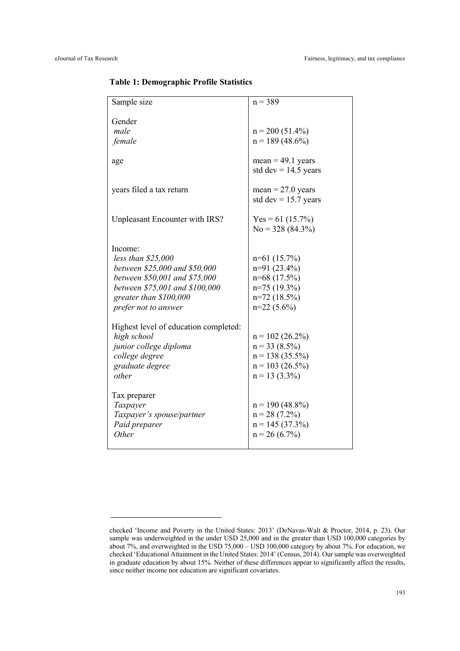| Sample size                                                                                                                                                                          | $n = 389$                                                                                            |
|--------------------------------------------------------------------------------------------------------------------------------------------------------------------------------------|------------------------------------------------------------------------------------------------------|
| Gender<br>male                                                                                                                                                                       | $n = 200 (51.4\%)$                                                                                   |
| female                                                                                                                                                                               | $n = 189(48.6\%)$                                                                                    |
| age                                                                                                                                                                                  | $mean = 49.1$ years<br>std dev = $14.5$ years                                                        |
| years filed a tax return                                                                                                                                                             | $mean = 27.0$ years<br>std dev = $15.7$ years                                                        |
| Unpleasant Encounter with IRS?                                                                                                                                                       | Yes = 61 (15.7%)<br>$No = 328 (84.3\%)$                                                              |
| Income:<br>less than $$25,000$<br>between \$25,000 and \$50,000<br>between \$50,001 and \$75,000<br>between \$75,001 and \$100,000<br>greater than \$100,000<br>prefer not to answer | $n=61(15.7%)$<br>$n=91(23.4\%)$<br>n=68 (17.5%)<br>$n=75(19.3\%)$<br>$n=72$ (18.5%)<br>$n=22(5.6\%)$ |
| Highest level of education completed:<br>high school<br>junior college diploma<br>college degree<br>graduate degree<br>other                                                         | $n = 102 (26.2\%)$<br>$n = 33 (8.5\%)$<br>$n = 138(35.5\%)$<br>$n = 103 (26.5\%)$<br>$n = 13$ (3.3%) |
| Tax preparer<br>Taxpayer<br>Taxpayer's spouse/partner<br>Paid preparer<br>Other                                                                                                      | $n = 190 (48.8\%)$<br>$n = 28$ (7.2%)<br>$n = 145(37.3\%)$<br>$n = 26(6.7%)$                         |

#### **Table 1: Demographic Profile Statistics**

checked 'Income and Poverty in the United States: 2013' (DeNavas-Walt & Proctor, 2014, p. 23). Our sample was underweighted in the under USD 25,000 and in the greater than USD 100,000 categories by about 7%, and overweighted in the USD 75,000 – USD 100,000 category by about 7%. For education, we checked 'Educational Attainment in the United States: 2014' (Census, 2014). Our sample was overweighted in graduate education by about 15%. Neither of these differences appear to significantly affect the results, since neither income nor education are significant covariates.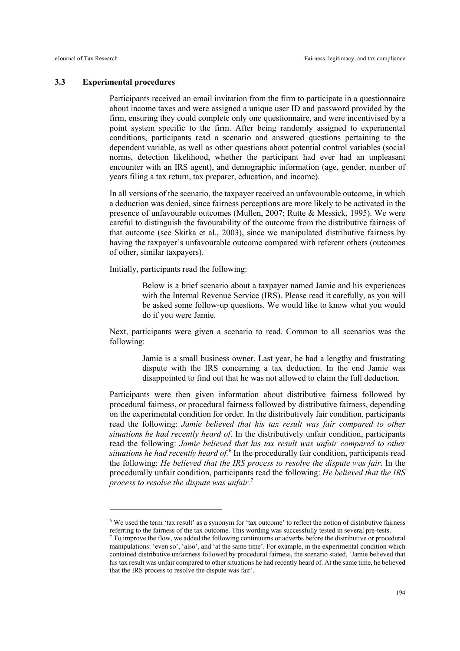#### **3.3 Experimental procedures**

Participants received an email invitation from the firm to participate in a questionnaire about income taxes and were assigned a unique user ID and password provided by the firm, ensuring they could complete only one questionnaire, and were incentivised by a point system specific to the firm. After being randomly assigned to experimental conditions, participants read a scenario and answered questions pertaining to the dependent variable, as well as other questions about potential control variables (social norms, detection likelihood, whether the participant had ever had an unpleasant encounter with an IRS agent), and demographic information (age, gender, number of years filing a tax return, tax preparer, education, and income).

In all versions of the scenario, the taxpayer received an unfavourable outcome, in which a deduction was denied, since fairness perceptions are more likely to be activated in the presence of unfavourable outcomes (Mullen, 2007; Rutte & Messick, 1995). We were careful to distinguish the favourability of the outcome from the distributive fairness of that outcome (see Skitka et al., 2003), since we manipulated distributive fairness by having the taxpayer's unfavourable outcome compared with referent others (outcomes of other, similar taxpayers).

Initially, participants read the following:

Below is a brief scenario about a taxpayer named Jamie and his experiences with the Internal Revenue Service (IRS). Please read it carefully, as you will be asked some follow-up questions. We would like to know what you would do if you were Jamie.

Next, participants were given a scenario to read. Common to all scenarios was the following:

> Jamie is a small business owner. Last year, he had a lengthy and frustrating dispute with the IRS concerning a tax deduction. In the end Jamie was disappointed to find out that he was not allowed to claim the full deduction.

Participants were then given information about distributive fairness followed by procedural fairness, or procedural fairness followed by distributive fairness, depending on the experimental condition for order. In the distributively fair condition, participants read the following: *Jamie believed that his tax result was fair compared to other situations he had recently heard of*. In the distributively unfair condition, participants read the following: *Jamie believed that his tax result was unfair compared to other situations he had recently heard of.*<sup>6</sup> In the procedurally fair condition, participants read the following: *He believed that the IRS process to resolve the dispute was fair.* In the procedurally unfair condition, participants read the following: *He believed that the IRS process to resolve the dispute was unfair.*<sup>7</sup>

<sup>6</sup> We used the term 'tax result' as a synonym for 'tax outcome' to reflect the notion of distributive fairness referring to the fairness of the tax outcome. This wording was successfully tested in several pre-tests.

 $<sup>7</sup>$  To improve the flow, we added the following continuums or adverbs before the distributive or procedural</sup> manipulations: 'even so', 'also', and 'at the same time'. For example, in the experimental condition which contained distributive unfairness followed by procedural fairness, the scenario stated, 'Jamie believed that his tax result was unfair compared to other situations he had recently heard of. At the same time, he believed that the IRS process to resolve the dispute was fair'.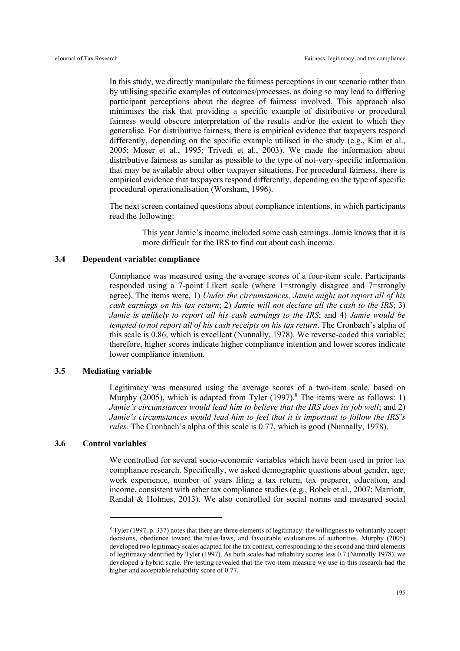In this study, we directly manipulate the fairness perceptions in our scenario rather than by utilising specific examples of outcomes/processes, as doing so may lead to differing participant perceptions about the degree of fairness involved. This approach also minimises the risk that providing a specific example of distributive or procedural fairness would obscure interpretation of the results and/or the extent to which they generalise. For distributive fairness, there is empirical evidence that taxpayers respond differently, depending on the specific example utilised in the study (e.g., Kim et al., 2005; Moser et al., 1995; Trivedi et al., 2003). We made the information about distributive fairness as similar as possible to the type of not-very-specific information that may be available about other taxpayer situations. For procedural fairness, there is empirical evidence that taxpayers respond differently, depending on the type of specific procedural operationalisation (Worsham, 1996).

The next screen contained questions about compliance intentions, in which participants read the following:

> This year Jamie's income included some cash earnings. Jamie knows that it is more difficult for the IRS to find out about cash income.

# **3.4 Dependent variable: compliance**

Compliance was measured using the average scores of a four-item scale. Participants responded using a 7-point Likert scale (where 1=strongly disagree and 7=strongly agree). The items were, 1) *Under the circumstances, Jamie might not report all of his cash earnings on his tax return*; 2) *Jamie will not declare all the cash to the IRS*; 3) *Jamie is unlikely to report all his cash earnings to the IRS*; and 4) *Jamie would be tempted to not report all of his cash receipts on his tax return*. The Cronbach's alpha of this scale is 0.86, which is excellent (Nunnally, 1978). We reverse-coded this variable; therefore, higher scores indicate higher compliance intention and lower scores indicate lower compliance intention.

# **3.5 Mediating variable**

Legitimacy was measured using the average scores of a two-item scale, based on Murphy (2005), which is adapted from Tyler (1997).<sup>8</sup> The items were as follows: 1) *Jamie's circumstances would lead him to believe that the IRS does its job well; and 2) Jamie's circumstances would lead him to feel that it is important to follow the IRS's rules.* The Cronbach's alpha of this scale is 0.77, which is good (Nunnally, 1978).

# **3.6 Control variables**

We controlled for several socio-economic variables which have been used in prior tax compliance research. Specifically, we asked demographic questions about gender, age, work experience, number of years filing a tax return, tax preparer, education, and income, consistent with other tax compliance studies (e.g., Bobek et al., 2007; Marriott, Randal & Holmes, 2013). We also controlled for social norms and measured social

<sup>8</sup> Tyler (1997, p. 337) notes that there are three elements of legitimacy: the willingness to voluntarily accept decisions, obedience toward the rules/laws, and favourable evaluations of authorities. Murphy (2005) developed two legitimacy scales adapted for the tax context, corresponding to the second and third elements of legitimacy identified by Tyler (1997). As both scales had reliability scores less 0.7 (Nunnally 1978), we developed a hybrid scale. Pre-testing revealed that the two-item measure we use in this research had the higher and acceptable reliability score of 0.77.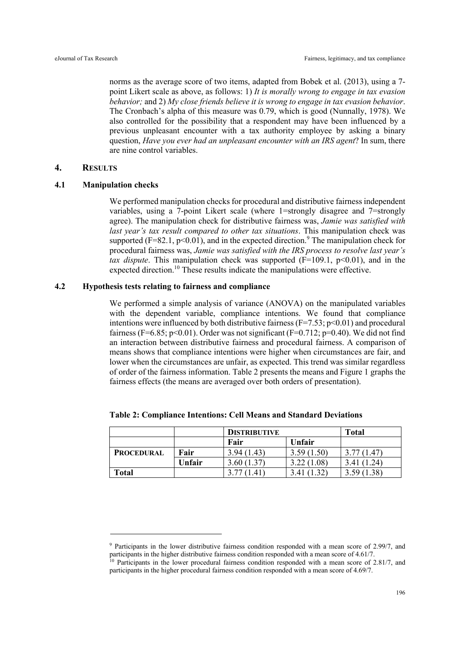norms as the average score of two items, adapted from Bobek et al. (2013), using a 7 point Likert scale as above, as follows: 1) *It is morally wrong to engage in tax evasion behavior;* and 2) *My close friends believe it is wrong to engage in tax evasion behavior*. The Cronbach's alpha of this measure was 0.79, which is good (Nunnally, 1978). We also controlled for the possibility that a respondent may have been influenced by a previous unpleasant encounter with a tax authority employee by asking a binary question, *Have you ever had an unpleasant encounter with an IRS agent*? In sum, there are nine control variables.

# **4. RESULTS**

# **4.1 Manipulation checks**

We performed manipulation checks for procedural and distributive fairness independent variables, using a 7-point Likert scale (where 1=strongly disagree and 7=strongly agree). The manipulation check for distributive fairness was, *Jamie was satisfied with last year's tax result compared to other tax situations*. This manipulation check was supported (F=82.1,  $p<0.01$ ), and in the expected direction.<sup>9</sup> The manipulation check for procedural fairness was, *Jamie was satisfied with the IRS process to resolve last year's tax dispute*. This manipulation check was supported  $(F=109.1, p<0.01)$ , and in the expected direction.<sup>10</sup> These results indicate the manipulations were effective.

# **4.2 Hypothesis tests relating to fairness and compliance**

We performed a simple analysis of variance (ANOVA) on the manipulated variables with the dependent variable, compliance intentions. We found that compliance intentions were influenced by both distributive fairness  $(F=7.53; p<0.01)$  and procedural fairness (F=6.85; p<0.01). Order was not significant (F=0.712; p=0.40). We did not find an interaction between distributive fairness and procedural fairness. A comparison of means shows that compliance intentions were higher when circumstances are fair, and lower when the circumstances are unfair, as expected. This trend was similar regardless of order of the fairness information. Table 2 presents the means and Figure 1 graphs the fairness effects (the means are averaged over both orders of presentation).

|                   |        | <b>DISTRIBUTIVE</b> |                       | <b>Total</b> |  |
|-------------------|--------|---------------------|-----------------------|--------------|--|
|                   |        | Fair                | Unfair                |              |  |
| <b>PROCEDURAL</b> | Fair   | 3.94(1.43)          | 3.59(1.50)            | 3.77(1.47)   |  |
|                   | Unfair | 3.60(1.37)          | 3.22(1.08)            | 3.41(1.24)   |  |
| Total             |        | (1.41)              | $.32^{\circ}$<br>3.41 | 3.59(1.38)   |  |

**Table 2: Compliance Intentions: Cell Means and Standard Deviations**

<sup>9</sup> Participants in the lower distributive fairness condition responded with a mean score of 2.99/7, and participants in the higher distributive fairness condition responded with a mean score of 4.61/7.

<sup>&</sup>lt;sup>10</sup> Participants in the lower procedural fairness condition responded with a mean score of 2.81/7, and participants in the higher procedural fairness condition responded with a mean score of 4.69/7.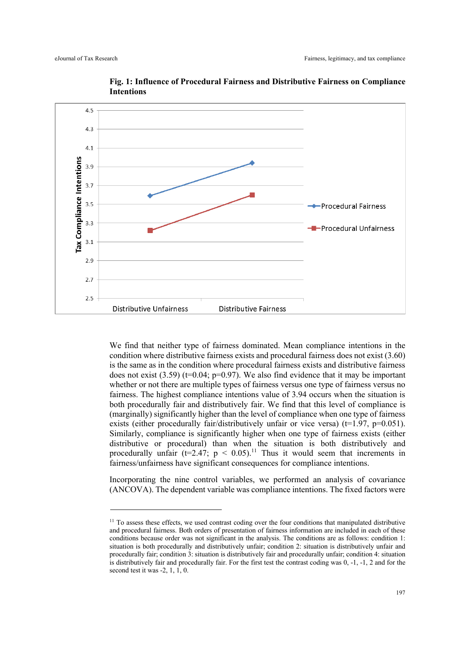

**Fig. 1: Influence of Procedural Fairness and Distributive Fairness on Compliance Intentions**

We find that neither type of fairness dominated. Mean compliance intentions in the condition where distributive fairness exists and procedural fairness does not exist (3.60) is the same as in the condition where procedural fairness exists and distributive fairness does not exist  $(3.59)$  (t=0.04; p=0.97). We also find evidence that it may be important whether or not there are multiple types of fairness versus one type of fairness versus no fairness. The highest compliance intentions value of 3.94 occurs when the situation is both procedurally fair and distributively fair. We find that this level of compliance is (marginally) significantly higher than the level of compliance when one type of fairness exists (either procedurally fair/distributively unfair or vice versa) ( $t=1.97$ ,  $p=0.051$ ). Similarly, compliance is significantly higher when one type of fairness exists (either distributive or procedural) than when the situation is both distributively and procedurally unfair (t=2.47;  $p \le 0.05$ ).<sup>11</sup> Thus it would seem that increments in fairness/unfairness have significant consequences for compliance intentions.

Incorporating the nine control variables, we performed an analysis of covariance (ANCOVA). The dependent variable was compliance intentions. The fixed factors were

<sup>&</sup>lt;sup>11</sup> To assess these effects, we used contrast coding over the four conditions that manipulated distributive and procedural fairness. Both orders of presentation of fairness information are included in each of these conditions because order was not significant in the analysis. The conditions are as follows: condition 1: situation is both procedurally and distributively unfair; condition 2: situation is distributively unfair and procedurally fair; condition 3: situation is distributively fair and procedurally unfair; condition 4: situation is distributively fair and procedurally fair. For the first test the contrast coding was 0, -1, -1, 2 and for the second test it was  $-2$ , 1, 1, 0.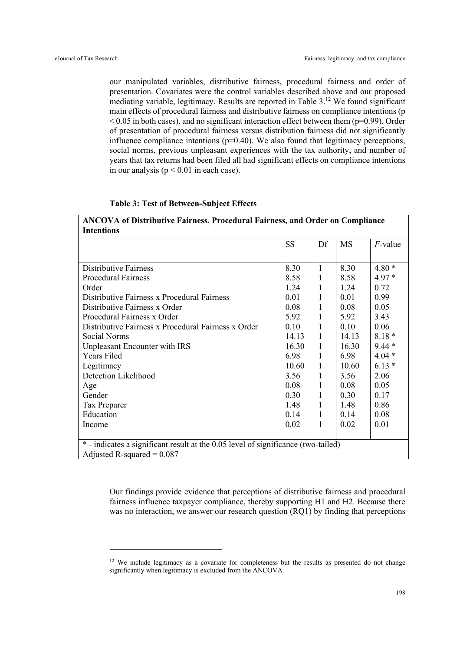our manipulated variables, distributive fairness, procedural fairness and order of presentation. Covariates were the control variables described above and our proposed mediating variable, legitimacy. Results are reported in Table 3.<sup>12</sup> We found significant main effects of procedural fairness and distributive fairness on compliance intentions (p  $\leq$  0.05 in both cases), and no significant interaction effect between them (p=0.99). Order of presentation of procedural fairness versus distribution fairness did not significantly influence compliance intentions  $(p=0.40)$ . We also found that legitimacy perceptions, social norms, previous unpleasant experiences with the tax authority, and number of years that tax returns had been filed all had significant effects on compliance intentions in our analysis ( $p < 0.01$  in each case).

#### **Table 3: Test of Between-Subject Effects**

| <b>ANCOVA of Distributive Fairness, Procedural Fairness, and Order on Compliance</b> |  |
|--------------------------------------------------------------------------------------|--|
| <b>Intentions</b>                                                                    |  |

|                                                                                   | <b>SS</b> | Df | MS    | $F$ -value |  |  |
|-----------------------------------------------------------------------------------|-----------|----|-------|------------|--|--|
|                                                                                   |           |    |       |            |  |  |
| <b>Distributive Fairness</b>                                                      | 8.30      | 1  | 8.30  | $4.80*$    |  |  |
| <b>Procedural Fairness</b>                                                        | 8.58      | 1  | 8.58  | $4.97*$    |  |  |
| Order                                                                             | 1.24      | 1  | 1.24  | 0.72       |  |  |
| Distributive Fairness x Procedural Fairness                                       | 0.01      | 1  | 0.01  | 0.99       |  |  |
| Distributive Fairness x Order                                                     | 0.08      | 1  | 0.08  | 0.05       |  |  |
| Procedural Fairness x Order                                                       | 5.92      | 1  | 5.92  | 3.43       |  |  |
| Distributive Fairness x Procedural Fairness x Order                               | 0.10      | 1  | 0.10  | 0.06       |  |  |
| Social Norms                                                                      | 14.13     | 1  | 14.13 | $8.18*$    |  |  |
| Unpleasant Encounter with IRS                                                     | 16.30     | 1  | 16.30 | $9.44*$    |  |  |
| <b>Years Filed</b>                                                                | 6.98      | 1  | 6.98  | $4.04*$    |  |  |
| Legitimacy                                                                        | 10.60     | 1  | 10.60 | $6.13*$    |  |  |
| Detection Likelihood                                                              | 3.56      | 1  | 3.56  | 2.06       |  |  |
| Age                                                                               | 0.08      | 1  | 0.08  | 0.05       |  |  |
| Gender                                                                            | 0.30      | 1  | 0.30  | 0.17       |  |  |
| Tax Preparer                                                                      | 1.48      | 1  | 1.48  | 0.86       |  |  |
| Education                                                                         | 0.14      | 1  | 0.14  | 0.08       |  |  |
| Income                                                                            | 0.02      | 1  | 0.02  | 0.01       |  |  |
|                                                                                   |           |    |       |            |  |  |
| * - indicates a significant result at the 0.05 level of significance (two-tailed) |           |    |       |            |  |  |
| Adjusted R-squared = $0.087$                                                      |           |    |       |            |  |  |

Our findings provide evidence that perceptions of distributive fairness and procedural fairness influence taxpayer compliance, thereby supporting H1 and H2. Because there was no interaction, we answer our research question (RQ1) by finding that perceptions

<sup>&</sup>lt;sup>12</sup> We include legitimacy as a covariate for completeness but the results as presented do not change significantly when legitimacy is excluded from the ANCOVA.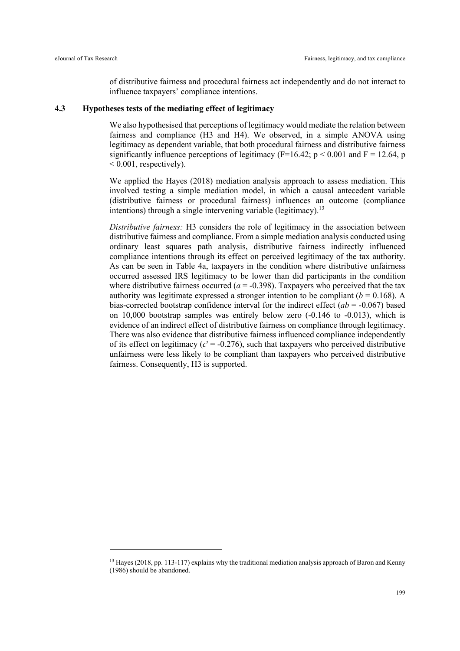of distributive fairness and procedural fairness act independently and do not interact to influence taxpayers' compliance intentions.

#### **4.3 Hypotheses tests of the mediating effect of legitimacy**

We also hypothesised that perceptions of legitimacy would mediate the relation between fairness and compliance (H3 and H4). We observed, in a simple ANOVA using legitimacy as dependent variable, that both procedural fairness and distributive fairness significantly influence perceptions of legitimacy ( $F=16.42$ ;  $p < 0.001$  and  $F = 12.64$ , p  $< 0.001$ , respectively).

We applied the Hayes (2018) mediation analysis approach to assess mediation. This involved testing a simple mediation model, in which a causal antecedent variable (distributive fairness or procedural fairness) influences an outcome (compliance intentions) through a single intervening variable (legitimacy).<sup>13</sup>

*Distributive fairness:* H3 considers the role of legitimacy in the association between distributive fairness and compliance. From a simple mediation analysis conducted using ordinary least squares path analysis, distributive fairness indirectly influenced compliance intentions through its effect on perceived legitimacy of the tax authority. As can be seen in Table 4a, taxpayers in the condition where distributive unfairness occurred assessed IRS legitimacy to be lower than did participants in the condition where distributive fairness occurred  $(a = -0.398)$ . Taxpayers who perceived that the tax authority was legitimate expressed a stronger intention to be compliant  $(b = 0.168)$ . A bias-corrected bootstrap confidence interval for the indirect effect  $(ab = -0.067)$  based on 10,000 bootstrap samples was entirely below zero (-0.146 to -0.013), which is evidence of an indirect effect of distributive fairness on compliance through legitimacy. There was also evidence that distributive fairness influenced compliance independently of its effect on legitimacy  $(c' = -0.276)$ , such that taxpayers who perceived distributive unfairness were less likely to be compliant than taxpayers who perceived distributive fairness. Consequently, H3 is supported.

<sup>&</sup>lt;sup>13</sup> Hayes (2018, pp. 113-117) explains why the traditional mediation analysis approach of Baron and Kenny (1986) should be abandoned.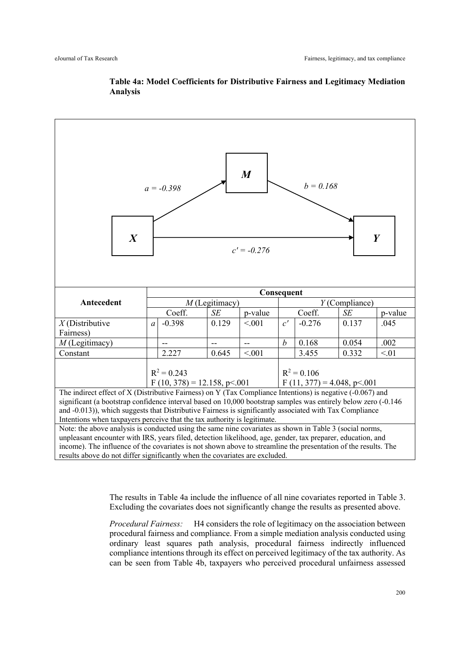

# **Table 4a: Model Coefficients for Distributive Fairness and Legitimacy Mediation Analysis**

The results in Table 4a include the influence of all nine covariates reported in Table 3. Excluding the covariates does not significantly change the results as presented above.

*Procedural Fairness:* H4 considers the role of legitimacy on the association between procedural fairness and compliance. From a simple mediation analysis conducted using ordinary least squares path analysis, procedural fairness indirectly influenced compliance intentions through its effect on perceived legitimacy of the tax authority. As can be seen from Table 4b, taxpayers who perceived procedural unfairness assessed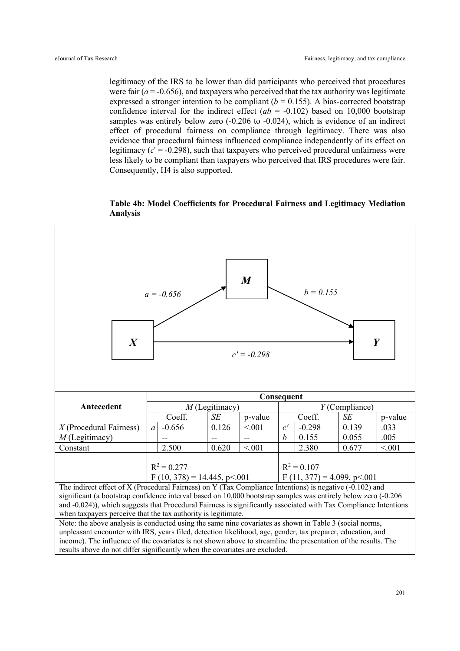legitimacy of the IRS to be lower than did participants who perceived that procedures were fair  $(a = -0.656)$ , and taxpayers who perceived that the tax authority was legitimate expressed a stronger intention to be compliant  $(b = 0.155)$ . A bias-corrected bootstrap confidence interval for the indirect effect  $(ab = -0.102)$  based on 10,000 bootstrap samples was entirely below zero (-0.206 to -0.024), which is evidence of an indirect effect of procedural fairness on compliance through legitimacy. There was also evidence that procedural fairness influenced compliance independently of its effect on legitimacy  $(c' = -0.298)$ , such that taxpayers who perceived procedural unfairness were less likely to be compliant than taxpayers who perceived that IRS procedures were fair. Consequently, H4 is also supported.





results above do not differ significantly when the covariates are excluded.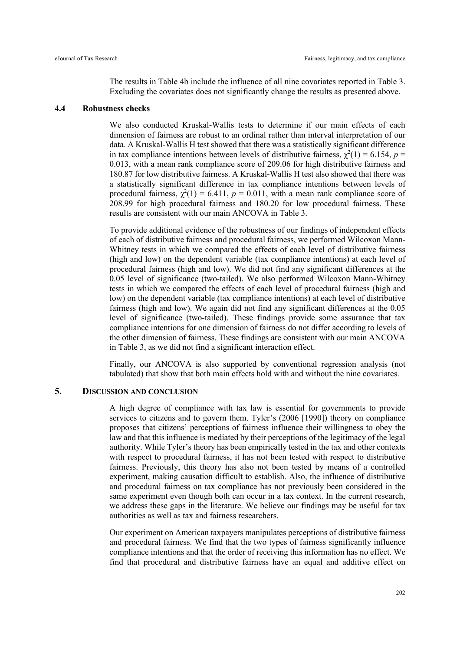The results in Table 4b include the influence of all nine covariates reported in Table 3. Excluding the covariates does not significantly change the results as presented above.

#### **4.4 Robustness checks**

We also conducted Kruskal-Wallis tests to determine if our main effects of each dimension of fairness are robust to an ordinal rather than interval interpretation of our data. A Kruskal-Wallis H test showed that there was a statistically significant difference in tax compliance intentions between levels of distributive fairness,  $\chi^2(1) = 6.154$ ,  $p =$ 0.013, with a mean rank compliance score of 209.06 for high distributive fairness and 180.87 for low distributive fairness. A Kruskal-Wallis H test also showed that there was a statistically significant difference in tax compliance intentions between levels of procedural fairness,  $\chi^2(1) = 6.411$ ,  $p = 0.011$ , with a mean rank compliance score of 208.99 for high procedural fairness and 180.20 for low procedural fairness. These results are consistent with our main ANCOVA in Table 3.

To provide additional evidence of the robustness of our findings of independent effects of each of distributive fairness and procedural fairness, we performed Wilcoxon Mann-Whitney tests in which we compared the effects of each level of distributive fairness (high and low) on the dependent variable (tax compliance intentions) at each level of procedural fairness (high and low). We did not find any significant differences at the 0.05 level of significance (two-tailed). We also performed Wilcoxon Mann-Whitney tests in which we compared the effects of each level of procedural fairness (high and low) on the dependent variable (tax compliance intentions) at each level of distributive fairness (high and low). We again did not find any significant differences at the 0.05 level of significance (two-tailed). These findings provide some assurance that tax compliance intentions for one dimension of fairness do not differ according to levels of the other dimension of fairness. These findings are consistent with our main ANCOVA in Table 3, as we did not find a significant interaction effect.

Finally, our ANCOVA is also supported by conventional regression analysis (not tabulated) that show that both main effects hold with and without the nine covariates.

# **5. DISCUSSION AND CONCLUSION**

A high degree of compliance with tax law is essential for governments to provide services to citizens and to govern them. Tyler's (2006 [1990]) theory on compliance proposes that citizens' perceptions of fairness influence their willingness to obey the law and that this influence is mediated by their perceptions of the legitimacy of the legal authority. While Tyler's theory has been empirically tested in the tax and other contexts with respect to procedural fairness, it has not been tested with respect to distributive fairness. Previously, this theory has also not been tested by means of a controlled experiment, making causation difficult to establish. Also, the influence of distributive and procedural fairness on tax compliance has not previously been considered in the same experiment even though both can occur in a tax context. In the current research, we address these gaps in the literature. We believe our findings may be useful for tax authorities as well as tax and fairness researchers.

Our experiment on American taxpayers manipulates perceptions of distributive fairness and procedural fairness. We find that the two types of fairness significantly influence compliance intentions and that the order of receiving this information has no effect. We find that procedural and distributive fairness have an equal and additive effect on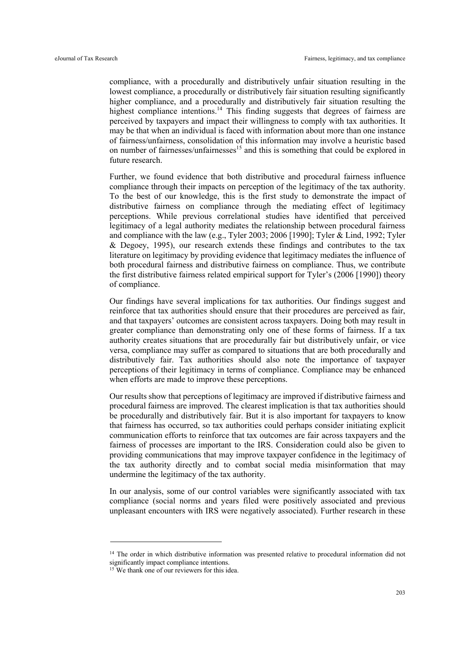compliance, with a procedurally and distributively unfair situation resulting in the lowest compliance, a procedurally or distributively fair situation resulting significantly higher compliance, and a procedurally and distributively fair situation resulting the highest compliance intentions.<sup>14</sup> This finding suggests that degrees of fairness are perceived by taxpayers and impact their willingness to comply with tax authorities. It may be that when an individual is faced with information about more than one instance of fairness/unfairness, consolidation of this information may involve a heuristic based on number of fairnesses/unfairnesses<sup>15</sup> and this is something that could be explored in future research.

Further, we found evidence that both distributive and procedural fairness influence compliance through their impacts on perception of the legitimacy of the tax authority. To the best of our knowledge, this is the first study to demonstrate the impact of distributive fairness on compliance through the mediating effect of legitimacy perceptions. While previous correlational studies have identified that perceived legitimacy of a legal authority mediates the relationship between procedural fairness and compliance with the law (e.g., Tyler 2003; 2006 [1990]; Tyler & Lind, 1992; Tyler & Degoey, 1995), our research extends these findings and contributes to the tax literature on legitimacy by providing evidence that legitimacy mediates the influence of both procedural fairness and distributive fairness on compliance. Thus, we contribute the first distributive fairness related empirical support for Tyler's (2006 [1990]) theory of compliance.

Our findings have several implications for tax authorities. Our findings suggest and reinforce that tax authorities should ensure that their procedures are perceived as fair, and that taxpayers' outcomes are consistent across taxpayers. Doing both may result in greater compliance than demonstrating only one of these forms of fairness. If a tax authority creates situations that are procedurally fair but distributively unfair, or vice versa, compliance may suffer as compared to situations that are both procedurally and distributively fair. Tax authorities should also note the importance of taxpayer perceptions of their legitimacy in terms of compliance. Compliance may be enhanced when efforts are made to improve these perceptions.

Our results show that perceptions of legitimacy are improved if distributive fairness and procedural fairness are improved. The clearest implication is that tax authorities should be procedurally and distributively fair. But it is also important for taxpayers to know that fairness has occurred, so tax authorities could perhaps consider initiating explicit communication efforts to reinforce that tax outcomes are fair across taxpayers and the fairness of processes are important to the IRS. Consideration could also be given to providing communications that may improve taxpayer confidence in the legitimacy of the tax authority directly and to combat social media misinformation that may undermine the legitimacy of the tax authority.

In our analysis, some of our control variables were significantly associated with tax compliance (social norms and years filed were positively associated and previous unpleasant encounters with IRS were negatively associated). Further research in these

<sup>&</sup>lt;sup>14</sup> The order in which distributive information was presented relative to procedural information did not significantly impact compliance intentions.

<sup>&</sup>lt;sup>15</sup> We thank one of our reviewers for this idea.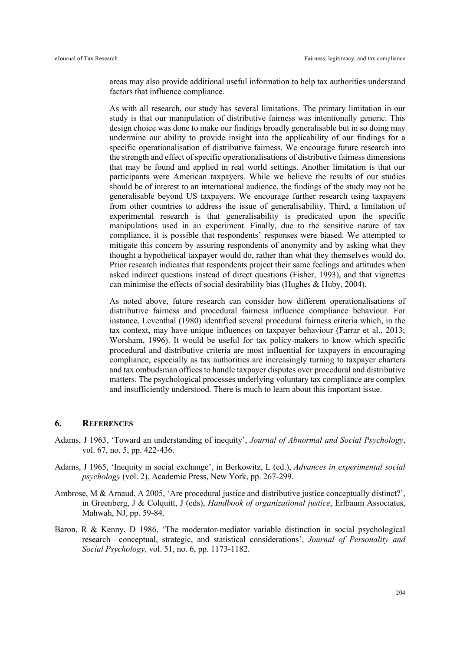areas may also provide additional useful information to help tax authorities understand factors that influence compliance.

As with all research, our study has several limitations. The primary limitation in our study is that our manipulation of distributive fairness was intentionally generic. This design choice was done to make our findings broadly generalisable but in so doing may undermine our ability to provide insight into the applicability of our findings for a specific operationalisation of distributive fairness. We encourage future research into the strength and effect of specific operationalisations of distributive fairness dimensions that may be found and applied in real world settings. Another limitation is that our participants were American taxpayers. While we believe the results of our studies should be of interest to an international audience, the findings of the study may not be generalisable beyond US taxpayers. We encourage further research using taxpayers from other countries to address the issue of generalisability. Third, a limitation of experimental research is that generalisability is predicated upon the specific manipulations used in an experiment. Finally, due to the sensitive nature of tax compliance, it is possible that respondents' responses were biased. We attempted to mitigate this concern by assuring respondents of anonymity and by asking what they thought a hypothetical taxpayer would do, rather than what they themselves would do. Prior research indicates that respondents project their same feelings and attitudes when asked indirect questions instead of direct questions (Fisher, 1993), and that vignettes can minimise the effects of social desirability bias (Hughes & Huby, 2004).

As noted above, future research can consider how different operationalisations of distributive fairness and procedural fairness influence compliance behaviour. For instance, Leventhal (1980) identified several procedural fairness criteria which, in the tax context, may have unique influences on taxpayer behaviour (Farrar et al., 2013; Worsham, 1996). It would be useful for tax policy-makers to know which specific procedural and distributive criteria are most influential for taxpayers in encouraging compliance, especially as tax authorities are increasingly turning to taxpayer charters and tax ombudsman offices to handle taxpayer disputes over procedural and distributive matters. The psychological processes underlying voluntary tax compliance are complex and insufficiently understood. There is much to learn about this important issue.

# **6. REFERENCES**

- Adams, J 1963, 'Toward an understanding of inequity', *Journal of Abnormal and Social Psychology*, vol. 67, no. 5, pp. 422-436.
- Adams, J 1965, 'Inequity in social exchange', in Berkowitz, L (ed.), *Advances in experimental social psychology* (vol. 2), Academic Press, New York, pp. 267-299.
- Ambrose, M & Arnaud, A 2005, 'Are procedural justice and distributive justice conceptually distinct?', in Greenberg, J & Colquitt, J (eds), *Handbook of organizational justice*, Erlbaum Associates, Mahwah, NJ, pp. 59-84.
- Baron, R & Kenny, D 1986, 'The moderator-mediator variable distinction in social psychological research—conceptual, strategic, and statistical considerations', *Journal of Personality and Social Psychology*, vol. 51, no. 6, pp. 1173-1182.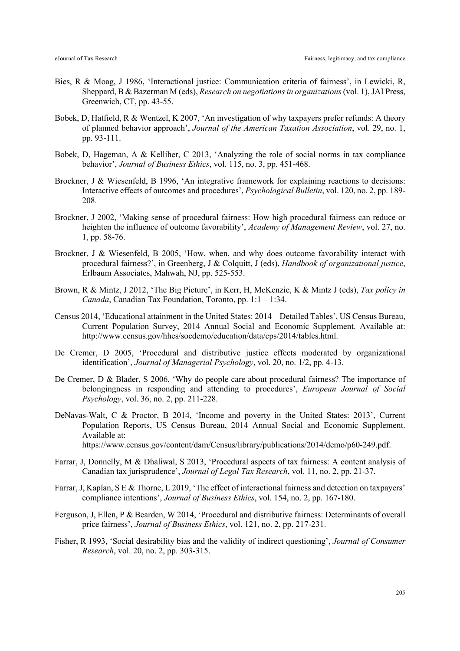- Bies, R & Moag, J 1986, 'Interactional justice: Communication criteria of fairness', in Lewicki, R, Sheppard, B & Bazerman M (eds), *Research on negotiations in organizations*(vol. 1), JAI Press, Greenwich, CT, pp. 43-55.
- Bobek, D, Hatfield, R & Wentzel, K 2007, 'An investigation of why taxpayers prefer refunds: A theory of planned behavior approach', *Journal of the American Taxation Association*, vol. 29, no. 1, pp. 93-111.
- Bobek, D, Hageman, A & Kelliher, C 2013, 'Analyzing the role of social norms in tax compliance behavior', *Journal of Business Ethics*, vol. 115, no. 3, pp. 451-468.
- Brockner, J & Wiesenfeld, B 1996, 'An integrative framework for explaining reactions to decisions: Interactive effects of outcomes and procedures', *Psychological Bulletin*, vol. 120, no. 2, pp. 189- 208.
- Brockner, J 2002, 'Making sense of procedural fairness: How high procedural fairness can reduce or heighten the influence of outcome favorability', *Academy of Management Review*, vol. 27, no. 1, pp. 58-76.
- Brockner, J & Wiesenfeld, B 2005, 'How, when, and why does outcome favorability interact with procedural fairness?', in Greenberg, J & Colquitt, J (eds), *Handbook of organizational justice*, Erlbaum Associates, Mahwah, NJ, pp. 525-553.
- Brown, R & Mintz, J 2012, 'The Big Picture', in Kerr, H, McKenzie, K & Mintz J (eds), *Tax policy in Canada*, Canadian Tax Foundation, Toronto, pp. 1:1 – 1:34.
- Census 2014, 'Educational attainment in the United States: 2014 Detailed Tables', US Census Bureau, Current Population Survey, 2014 Annual Social and Economic Supplement. Available at: http://www.census.gov/hhes/socdemo/education/data/cps/2014/tables.html.
- De Cremer, D 2005, 'Procedural and distributive justice effects moderated by organizational identification', *Journal of Managerial Psychology*, vol. 20, no. 1/2, pp. 4-13.
- De Cremer, D & Blader, S 2006, 'Why do people care about procedural fairness? The importance of belongingness in responding and attending to procedures', *European Journal of Social Psychology*, vol. 36, no. 2, pp. 211-228.
- DeNavas-Walt, C & Proctor, B 2014, 'Income and poverty in the United States: 2013', Current Population Reports, US Census Bureau, 2014 Annual Social and Economic Supplement. Available at: https://www.census.gov/content/dam/Census/library/publications/2014/demo/p60-249.pdf.
- Farrar, J, Donnelly, M & Dhaliwal, S 2013, 'Procedural aspects of tax fairness: A content analysis of Canadian tax jurisprudence', *Journal of Legal Tax Research*, vol. 11, no. 2, pp. 21-37.
- Farrar, J, Kaplan, S E & Thorne, L 2019, 'The effect of interactional fairness and detection on taxpayers' compliance intentions', *Journal of Business Ethics*, vol. 154, no. 2, pp. 167-180.
- Ferguson, J, Ellen, P & Bearden, W 2014, 'Procedural and distributive fairness: Determinants of overall price fairness', *Journal of Business Ethics*, vol. 121, no. 2, pp. 217-231.
- Fisher, R 1993, 'Social desirability bias and the validity of indirect questioning', *Journal of Consumer Research*, vol. 20, no. 2, pp. 303-315.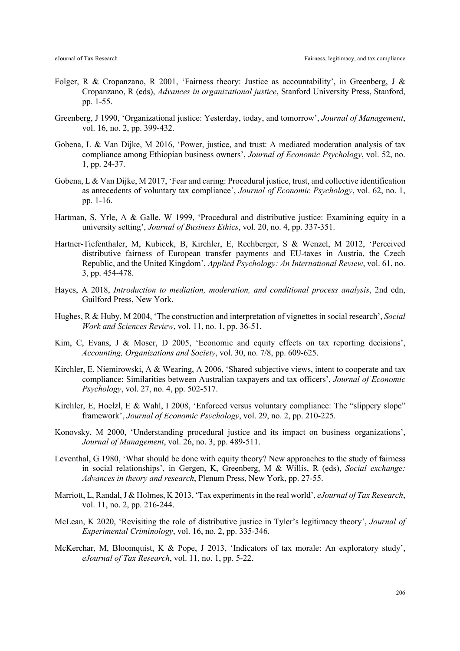- Folger, R & Cropanzano, R 2001, 'Fairness theory: Justice as accountability', in Greenberg, J & Cropanzano, R (eds), *Advances in organizational justice*, Stanford University Press, Stanford, pp. 1-55.
- Greenberg, J 1990, 'Organizational justice: Yesterday, today, and tomorrow', *Journal of Management*, vol. 16, no. 2, pp. 399-432.
- Gobena, L & Van Dijke, M 2016, 'Power, justice, and trust: A mediated moderation analysis of tax compliance among Ethiopian business owners', *Journal of Economic Psychology*, vol. 52, no. 1, pp. 24-37.
- Gobena, L & Van Dijke, M 2017, 'Fear and caring: Procedural justice, trust, and collective identification as antecedents of voluntary tax compliance', *Journal of Economic Psychology*, vol. 62, no. 1, pp. 1-16.
- Hartman, S, Yrle, A & Galle, W 1999, 'Procedural and distributive justice: Examining equity in a university setting', *Journal of Business Ethics*, vol. 20, no. 4, pp. 337-351.
- Hartner-Tiefenthaler, M, Kubicek, B, Kirchler, E, Rechberger, S & Wenzel, M 2012, 'Perceived distributive fairness of European transfer payments and EU-taxes in Austria, the Czech Republic, and the United Kingdom', *Applied Psychology: An International Review*, vol. 61, no. 3, pp. 454-478.
- Hayes, A 2018, *Introduction to mediation, moderation, and conditional process analysis*, 2nd edn, Guilford Press, New York.
- Hughes, R & Huby, M 2004, 'The construction and interpretation of vignettes in social research', *Social Work and Sciences Review*, vol. 11, no. 1, pp. 36-51.
- Kim, C, Evans, J & Moser, D 2005, 'Economic and equity effects on tax reporting decisions', *Accounting, Organizations and Society*, vol. 30, no. 7/8, pp. 609-625.
- Kirchler, E, Niemirowski, A & Wearing, A 2006, 'Shared subjective views, intent to cooperate and tax compliance: Similarities between Australian taxpayers and tax officers', *Journal of Economic Psychology*, vol. 27, no. 4, pp. 502-517.
- Kirchler, E, Hoelzl, E & Wahl, I 2008, 'Enforced versus voluntary compliance: The "slippery slope" framework', *Journal of Economic Psychology*, vol. 29, no. 2, pp. 210-225.
- Konovsky, M 2000, 'Understanding procedural justice and its impact on business organizations', *Journal of Management*, vol. 26, no. 3, pp. 489-511.
- Leventhal, G 1980, 'What should be done with equity theory? New approaches to the study of fairness in social relationships', in Gergen, K, Greenberg, M & Willis, R (eds), *Social exchange: Advances in theory and research*, Plenum Press, New York, pp. 27-55.
- Marriott, L, Randal, J & Holmes, K 2013, 'Tax experiments in the real world', *eJournal of Tax Research*, vol. 11, no. 2, pp. 216-244.
- McLean, K 2020, 'Revisiting the role of distributive justice in Tyler's legitimacy theory', *Journal of Experimental Criminology*, vol. 16, no. 2, pp. 335-346.
- McKerchar, M, Bloomquist, K & Pope, J 2013, 'Indicators of tax morale: An exploratory study', *eJournal of Tax Research*, vol. 11, no. 1, pp. 5-22.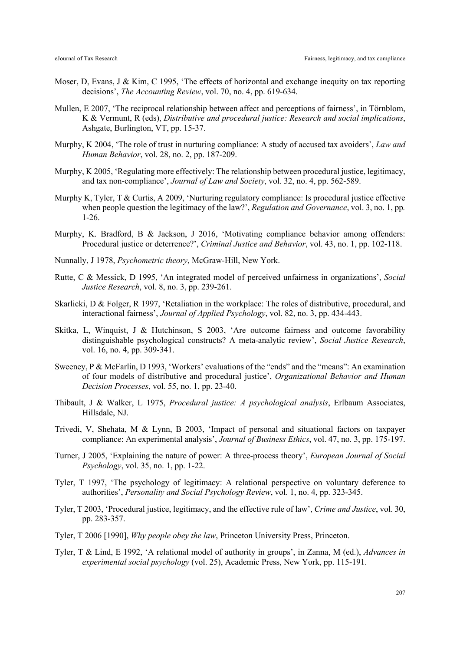- Moser, D, Evans, J & Kim, C 1995, 'The effects of horizontal and exchange inequity on tax reporting decisions', *The Accounting Review*, vol. 70, no. 4, pp. 619-634.
- Mullen, E 2007, 'The reciprocal relationship between affect and perceptions of fairness', in Törnblom, K & Vermunt, R (eds), *Distributive and procedural justice: Research and social implications*, Ashgate, Burlington, VT, pp. 15-37.
- Murphy, K 2004, 'The role of trust in nurturing compliance: A study of accused tax avoiders', *Law and Human Behavior*, vol. 28, no. 2, pp. 187-209.
- Murphy, K 2005, 'Regulating more effectively: The relationship between procedural justice, legitimacy, and tax non-compliance', *Journal of Law and Society*, vol. 32, no. 4, pp. 562-589.
- Murphy K, Tyler, T & Curtis, A 2009, 'Nurturing regulatory compliance: Is procedural justice effective when people question the legitimacy of the law?', *Regulation and Governance*, vol. 3, no. 1, pp*.*  1-26.
- Murphy, K. Bradford, B & Jackson, J 2016, 'Motivating compliance behavior among offenders: Procedural justice or deterrence?', *Criminal Justice and Behavior*, vol. 43, no. 1, pp. 102-118.
- Nunnally, J 1978, *Psychometric theory*, McGraw-Hill, New York.
- Rutte, C & Messick, D 1995, 'An integrated model of perceived unfairness in organizations', *Social Justice Research*, vol. 8, no. 3, pp. 239-261.
- Skarlicki, D & Folger, R 1997, 'Retaliation in the workplace: The roles of distributive, procedural, and interactional fairness', *Journal of Applied Psychology*, vol. 82, no. 3, pp. 434-443.
- Skitka, L, Winquist, J & Hutchinson, S 2003, 'Are outcome fairness and outcome favorability distinguishable psychological constructs? A meta-analytic review', *Social Justice Research*, vol. 16, no. 4, pp. 309-341.
- Sweeney, P & McFarlin, D 1993, 'Workers' evaluations of the "ends" and the "means": An examination of four models of distributive and procedural justice', *Organizational Behavior and Human Decision Processes*, vol. 55, no. 1, pp. 23-40.
- Thibault, J & Walker, L 1975, *Procedural justice: A psychological analysis*, Erlbaum Associates, Hillsdale, NJ.
- Trivedi, V, Shehata, M & Lynn, B 2003, 'Impact of personal and situational factors on taxpayer compliance: An experimental analysis', *Journal of Business Ethics*, vol. 47, no. 3, pp. 175-197.
- Turner, J 2005, 'Explaining the nature of power: A three-process theory', *European Journal of Social Psychology*, vol. 35, no. 1, pp. 1-22.
- Tyler, T 1997, 'The psychology of legitimacy: A relational perspective on voluntary deference to authorities', *Personality and Social Psychology Review*, vol. 1, no. 4, pp. 323-345.
- Tyler, T 2003, 'Procedural justice, legitimacy, and the effective rule of law', *Crime and Justice*, vol. 30, pp. 283-357.
- Tyler, T 2006 [1990], *Why people obey the law*, Princeton University Press, Princeton.
- Tyler, T & Lind, E 1992, 'A relational model of authority in groups', in Zanna, M (ed.), *Advances in experimental social psychology* (vol. 25), Academic Press, New York, pp. 115-191.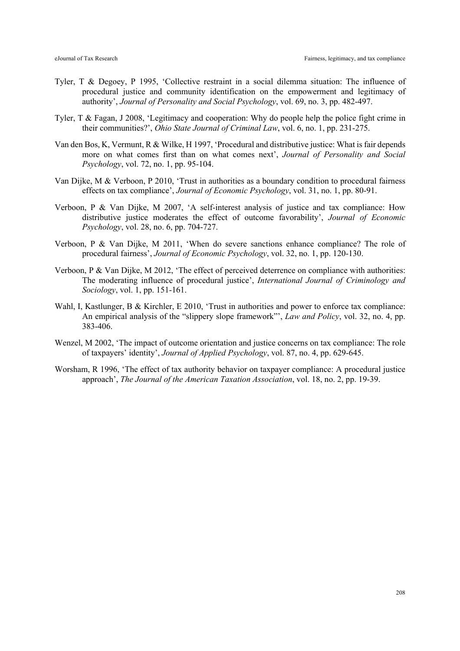- Tyler, T & Degoey, P 1995, 'Collective restraint in a social dilemma situation: The influence of procedural justice and community identification on the empowerment and legitimacy of authority', *Journal of Personality and Social Psychology*, vol. 69, no. 3, pp. 482-497.
- Tyler, T & Fagan, J 2008, 'Legitimacy and cooperation: Why do people help the police fight crime in their communities?', *Ohio State Journal of Criminal Law*, vol. 6, no. 1, pp. 231-275.
- Van den Bos, K, Vermunt, R & Wilke, H 1997, 'Procedural and distributive justice: What is fair depends more on what comes first than on what comes next', *Journal of Personality and Social Psychology*, vol. 72, no. 1, pp. 95-104.
- Van Dijke, M & Verboon, P 2010, 'Trust in authorities as a boundary condition to procedural fairness effects on tax compliance', *Journal of Economic Psychology*, vol. 31, no. 1, pp. 80-91.
- Verboon, P & Van Dijke, M 2007, 'A self-interest analysis of justice and tax compliance: How distributive justice moderates the effect of outcome favorability', *Journal of Economic Psychology*, vol. 28, no. 6, pp. 704-727.
- Verboon, P & Van Dijke, M 2011, 'When do severe sanctions enhance compliance? The role of procedural fairness', *Journal of Economic Psychology*, vol. 32, no. 1, pp. 120-130.
- Verboon, P & Van Dijke, M 2012, 'The effect of perceived deterrence on compliance with authorities: The moderating influence of procedural justice', *International Journal of Criminology and Sociology*, vol. 1, pp. 151-161.
- Wahl, I, Kastlunger, B & Kirchler, E 2010, 'Trust in authorities and power to enforce tax compliance: An empirical analysis of the "slippery slope framework"', *Law and Policy*, vol. 32, no. 4, pp. 383-406.
- Wenzel, M 2002, 'The impact of outcome orientation and justice concerns on tax compliance: The role of taxpayers' identity', *Journal of Applied Psychology*, vol. 87, no. 4, pp. 629-645.
- Worsham, R 1996, 'The effect of tax authority behavior on taxpayer compliance: A procedural justice approach', *The Journal of the American Taxation Association*, vol. 18, no. 2, pp. 19-39.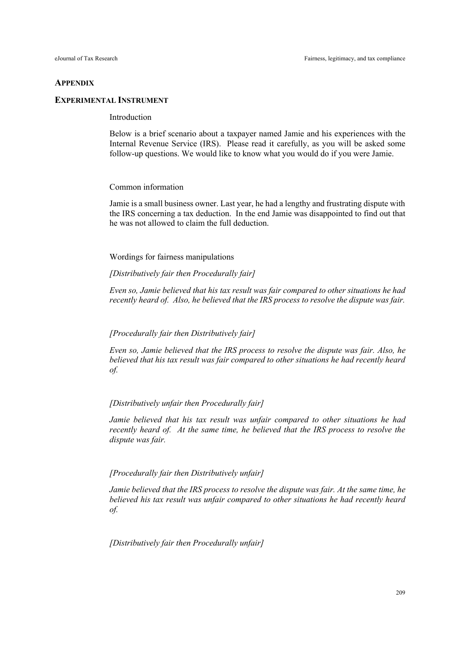#### **APPENDIX**

# **EXPERIMENTAL INSTRUMENT**

# Introduction

Below is a brief scenario about a taxpayer named Jamie and his experiences with the Internal Revenue Service (IRS). Please read it carefully, as you will be asked some follow-up questions. We would like to know what you would do if you were Jamie.

#### Common information

Jamie is a small business owner. Last year, he had a lengthy and frustrating dispute with the IRS concerning a tax deduction. In the end Jamie was disappointed to find out that he was not allowed to claim the full deduction.

Wordings for fairness manipulations

*[Distributively fair then Procedurally fair]*

*Even so, Jamie believed that his tax result was fair compared to other situations he had recently heard of. Also, he believed that the IRS process to resolve the dispute was fair.*

# *[Procedurally fair then Distributively fair]*

*Even so, Jamie believed that the IRS process to resolve the dispute was fair. Also, he believed that his tax result was fair compared to other situations he had recently heard of.*

# *[Distributively unfair then Procedurally fair]*

*Jamie believed that his tax result was unfair compared to other situations he had recently heard of. At the same time, he believed that the IRS process to resolve the dispute was fair.* 

### *[Procedurally fair then Distributively unfair]*

*Jamie believed that the IRS process to resolve the dispute was fair. At the same time, he believed his tax result was unfair compared to other situations he had recently heard of.*

*[Distributively fair then Procedurally unfair]*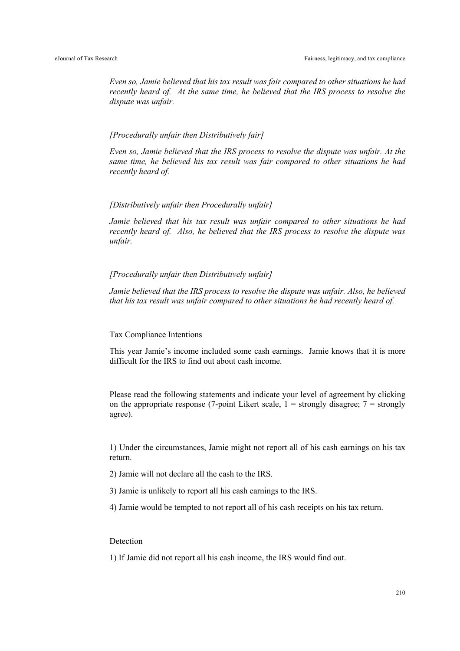*Even so, Jamie believed that his tax result was fair compared to other situations he had recently heard of. At the same time, he believed that the IRS process to resolve the dispute was unfair.*

# *[Procedurally unfair then Distributively fair]*

*Even so, Jamie believed that the IRS process to resolve the dispute was unfair. At the same time, he believed his tax result was fair compared to other situations he had recently heard of.*

# *[Distributively unfair then Procedurally unfair]*

*Jamie believed that his tax result was unfair compared to other situations he had recently heard of. Also, he believed that the IRS process to resolve the dispute was unfair.*

# *[Procedurally unfair then Distributively unfair]*

*Jamie believed that the IRS process to resolve the dispute was unfair. Also, he believed that his tax result was unfair compared to other situations he had recently heard of.* 

#### Tax Compliance Intentions

This year Jamie's income included some cash earnings. Jamie knows that it is more difficult for the IRS to find out about cash income.

Please read the following statements and indicate your level of agreement by clicking on the appropriate response (7-point Likert scale,  $1 =$  strongly disagree;  $7 =$  strongly agree).

1) Under the circumstances, Jamie might not report all of his cash earnings on his tax return.

2) Jamie will not declare all the cash to the IRS.

3) Jamie is unlikely to report all his cash earnings to the IRS.

4) Jamie would be tempted to not report all of his cash receipts on his tax return.

# Detection

1) If Jamie did not report all his cash income, the IRS would find out.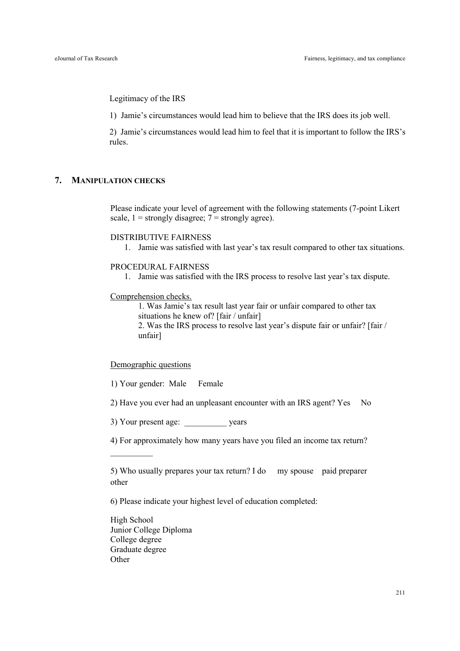Legitimacy of the IRS

1) Jamie's circumstances would lead him to believe that the IRS does its job well.

2) Jamie's circumstances would lead him to feel that it is important to follow the IRS's rules.

# **7. MANIPULATION CHECKS**

Please indicate your level of agreement with the following statements (7-point Likert scale,  $1 =$  strongly disagree;  $7 =$  strongly agree).

# DISTRIBUTIVE FAIRNESS

1. Jamie was satisfied with last year's tax result compared to other tax situations.

# PROCEDURAL FAIRNESS

1. Jamie was satisfied with the IRS process to resolve last year's tax dispute.

# Comprehension checks.

1. Was Jamie's tax result last year fair or unfair compared to other tax situations he knew of? [fair / unfair]

2. Was the IRS process to resolve last year's dispute fair or unfair? [fair / unfair]

# Demographic questions

1) Your gender: Male Female

2) Have you ever had an unpleasant encounter with an IRS agent? Yes No

3) Your present age: vears

4) For approximately how many years have you filed an income tax return?

5) Who usually prepares your tax return? I do my spouse paid preparer other

6) Please indicate your highest level of education completed:

High School Junior College Diploma College degree Graduate degree **Other**